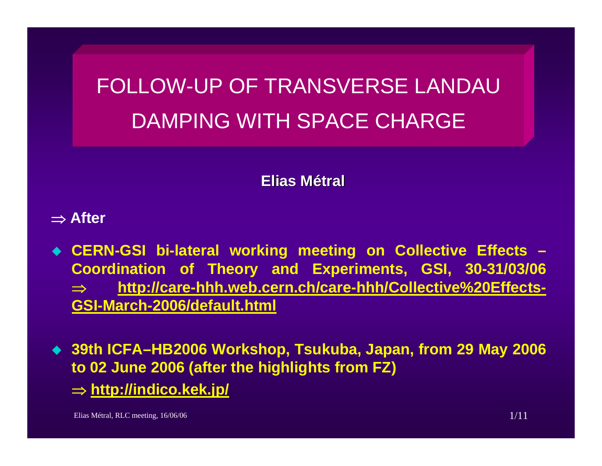FOLLOW-UP OF TRANSVERSE LANDAUDAMPING WITH SPACE CHARGE

**Elias Métral**

⇒ **After**

- **CERN-GSI bi-lateral working meeting on Collective Effects – Coordination of Theory and Experiments, GSI, 30-31/03/06**  ⇒ **[http://care-hhh.web.cern.ch/care-hhh/Collective%20Effects-](http://care-hhh.web.cern.ch/care-hhh/Collective Effects-GSI-March-2006/default.html)[GSI-March-2006/default.html](http://care-hhh.web.cern.ch/care-hhh/Collective Effects-GSI-March-2006/default.html)**
- **39th ICFA–HB2006 Workshop, Tsukuba, Japan, from 29 May 2006 to 02 June 2006 (after the highlights from FZ)**

⇒ **<http://indico.kek.jp/>**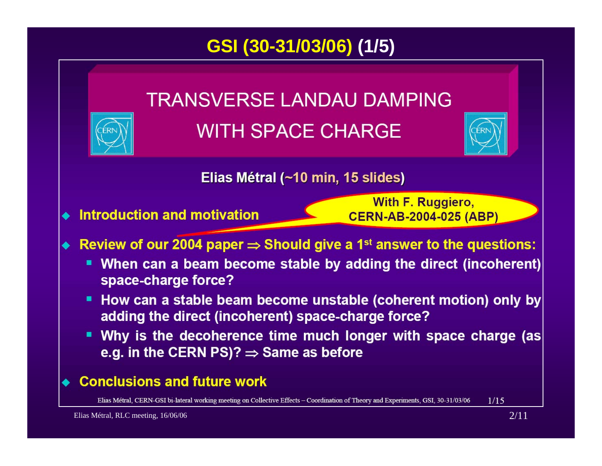# **GSI (30-31/03/06) (1/5)**

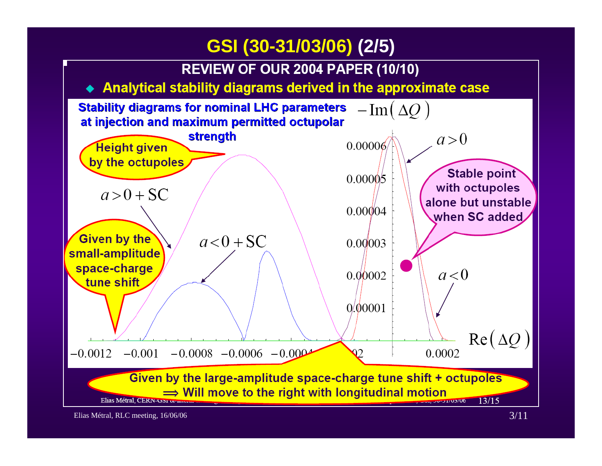## **GSI (30-31/03/06) (2/5)**

**REVIEW OF OUR 2004 PAPER (10/10)** 

#### Analytical stability diagrams derived in the approximate case

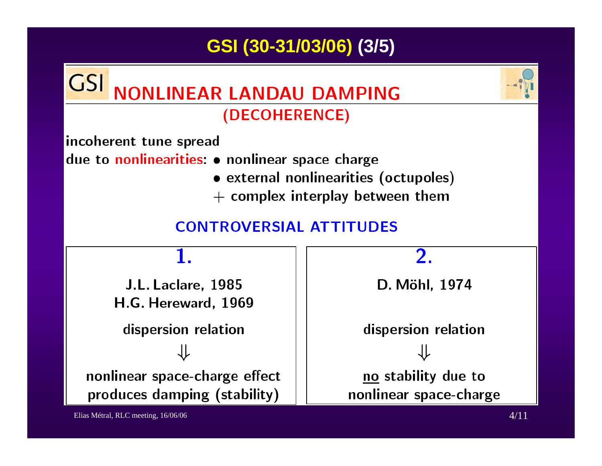# GSI (30-31/03/06) (3/5)

#### **GSI NONLINEAR LANDAU DAMPING** (DECOHERENCE)

incoherent tune spread

due to nonlinearities: • nonlinear space charge

- external nonlinearities (octupoles)
- $+$  complex interplay between them

### **CONTROVERSIAL ATTITUDES**

J.L. Laclare, 1985 H.G. Hereward, 1969 dispersion relation nonlinear space-charge effect produces damping (stability)

2.

D. Möhl, 1974

dispersion relation no stability due to nonlinear space-charge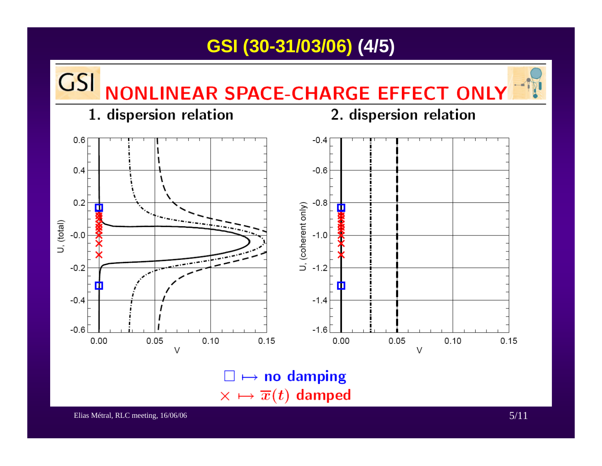## **GSI (30-31/03/06) (4/5)**



 $\square \mapsto$  no damping  $\times \mapsto \overline{x}(t)$  damped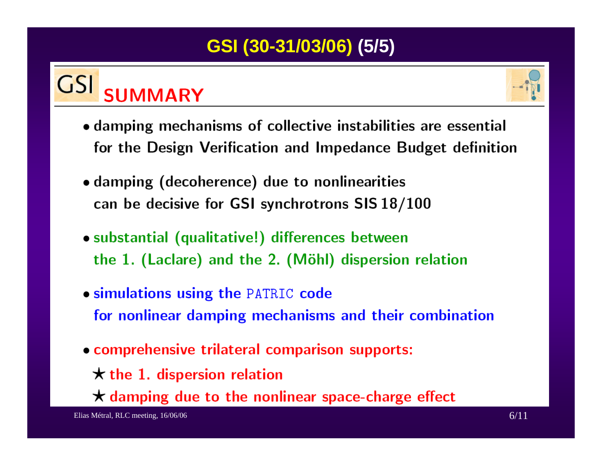# **GSI (30-31/03/06) (5/5)**

#### **GSI SUMMARY**



- damping mechanisms of collective instabilities are essential for the Design Verification and Impedance Budget definition
- damping (decoherence) due to nonlinearities can be decisive for GSI synchrotrons SIS 18/100
- · substantial (qualitative!) differences between the 1. (Laclare) and the 2. (Möhl) dispersion relation
- **.** simulations using the PATRIC code for nonlinear damping mechanisms and their combination
- comprehensive trilateral comparison supports:
	- $\star$  the 1. dispersion relation
	- $\star$  damping due to the nonlinear space-charge effect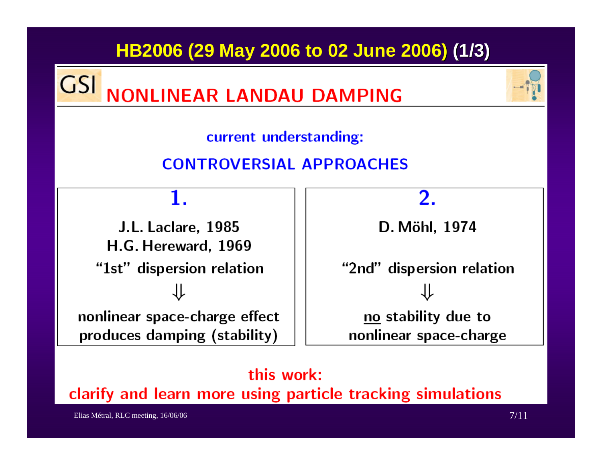## HB2006 (29 May 2006 to 02 June 2006) (1/3)

**GSI NONLINEAR LANDAU DAMPING** 



current understanding:

## **CONTROVERSIAL APPROACHES**

#### 1.

**J.L. Laclare, 1985** H.G. Hereward, 1969 "1st" dispersion relation nonlinear space-charge effect produces damping (stability)

2.

D. Möhl, 1974

"2nd" dispersion relation no stability due to nonlinear space-charge

#### this work:

clarify and learn more using particle tracking simulations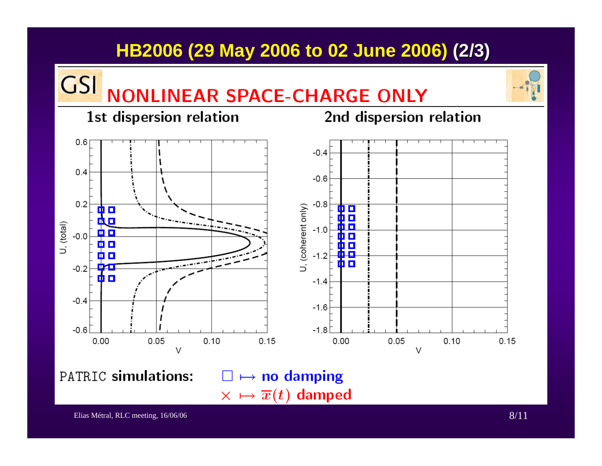# **HB2006 (29 May 2006 to 02 June 2006) (2/3)**

## **NONLINEAR SPACE-CHARGE ONLY** 1st dispersion relation

**GSI** 

2nd dispersion relation



PATRIC simulations:

 $\square \mapsto$  no damping  $\times \mapsto \overline{x}(t)$  damped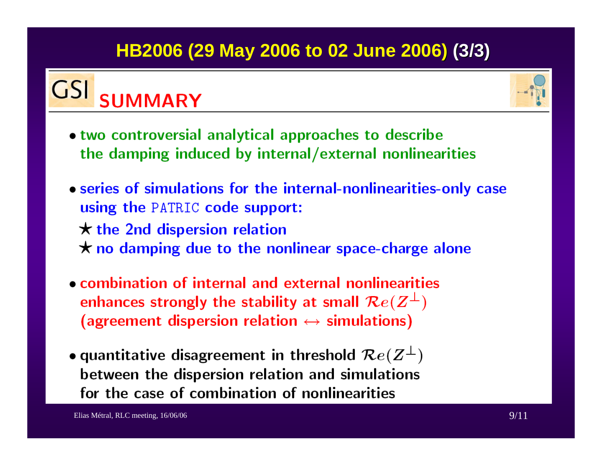# **HB2006 (29 May 2006 to 02 June 2006) (3/3)**

#### **GSI SUMMARY**



- two controversial analytical approaches to describe the damping induced by internal/external nonlinearities
- series of simulations for the internal-nonlinearities-only case using the PATRIC code support:  $\star$  the 2nd dispersion relation  $\star$  no damping due to the nonlinear space-charge alone
- combination of internal and external nonlinearities enhances strongly the stability at small  $\mathcal{R}e(Z^{\perp})$ (agreement dispersion relation  $\leftrightarrow$  simulations)
- quantitative disagreement in threshold  $\mathcal{R}e(Z^{\perp})$ between the dispersion relation and simulations for the case of combination of nonlinearities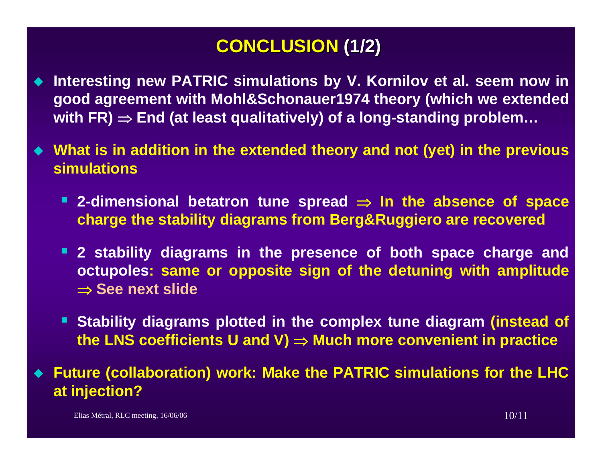# **CONCLUSION CONCLUSION (1/2)**

- ◆ Interesting new PATRIC simulations by V. Kornilov et al. seem now in **good agreement with Mohl&Schonauer1974 theory (which we extended with FR)** <sup>⇒</sup> **End (at least qualitatively) of a long-standing problem…**
- **What is in addition in the extended theory and not (yet) in the previous simulations**
	- **2-dimensional betatron tune spread** <sup>⇒</sup> **In the absence of space charge the stability diagrams from Berg&Ruggiero are recovered**
	- **2 stability diagrams in the presence of both space charge and octupoles: same or opposite sign of the detuning with amplitude**  ⇒ **See next slide**
	- **Stability diagrams plotted in the complex tune diagram (instead of the LNS coefficients U and V)** <sup>⇒</sup> **Much more convenient in practice**

 **Future (collaboration) work: Make the PATRIC simulations for the LHC at injection?**